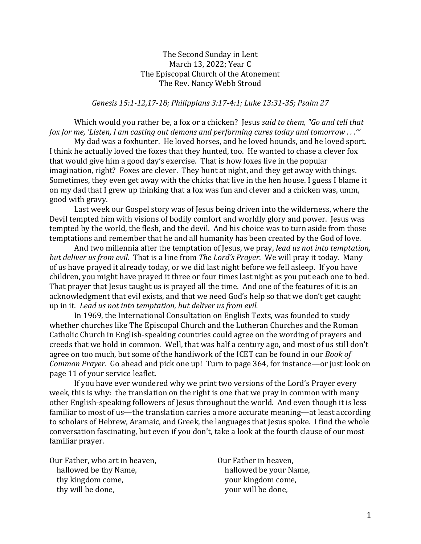## The Second Sunday in Lent March 13, 2022; Year C The Episcopal Church of the Atonement The Rev. Nancy Webb Stroud

*Genesis 15:1-12,17-18; Philippians 3:17-4:1; Luke 13:31-35; Psalm 27*

Which would you rather be, a fox or a chicken? Jesus *said to them, "Go and tell that fox for me, 'Listen, I am casting out demons and performing cures today and tomorrow . . .'"*

My dad was a foxhunter. He loved horses, and he loved hounds, and he loved sport. I think he actually loved the foxes that they hunted, too. He wanted to chase a clever fox that would give him a good day's exercise. That is how foxes live in the popular imagination, right? Foxes are clever. They hunt at night, and they get away with things. Sometimes, they even get away with the chicks that live in the hen house. I guess I blame it on my dad that I grew up thinking that a fox was fun and clever and a chicken was, umm, good with gravy.

Last week our Gospel story was of Jesus being driven into the wilderness, where the Devil tempted him with visions of bodily comfort and worldly glory and power. Jesus was tempted by the world, the flesh, and the devil. And his choice was to turn aside from those temptations and remember that he and all humanity has been created by the God of love.

And two millennia after the temptation of Jesus, we pray, *lead us not into temptation, but deliver us from evil.* That is a line from *The Lord's Prayer*. We will pray it today. Many of us have prayed it already today, or we did last night before we fell asleep. If you have children, you might have prayed it three or four times last night as you put each one to bed. That prayer that Jesus taught us is prayed all the time. And one of the features of it is an acknowledgment that evil exists, and that we need God's help so that we don't get caught up in it. *Lead us not into temptation, but deliver us from evil.*

In 1969, the International Consultation on English Texts, was founded to study whether churches like The Episcopal Church and the Lutheran Churches and the Roman Catholic Church in English-speaking countries could agree on the wording of prayers and creeds that we hold in common. Well, that was half a century ago, and most of us still don't agree on too much, but some of the handiwork of the ICET can be found in our *Book of Common Prayer*. Go ahead and pick one up! Turn to page 364, for instance—or just look on page 11 of your service leaflet.

If you have ever wondered why we print two versions of the Lord's Prayer every week, this is why: the translation on the right is one that we pray in common with many other English-speaking followers of Jesus throughout the world. And even though it is less familiar to most of us—the translation carries a more accurate meaning—at least according to scholars of Hebrew, Aramaic, and Greek, the languages that Jesus spoke. I find the whole conversation fascinating, but even if you don't, take a look at the fourth clause of our most familiar prayer.

Our Father, who art in heaven, hallowed be thy Name, thy kingdom come, thy will be done,

Our Father in heaven, hallowed be your Name, your kingdom come, your will be done,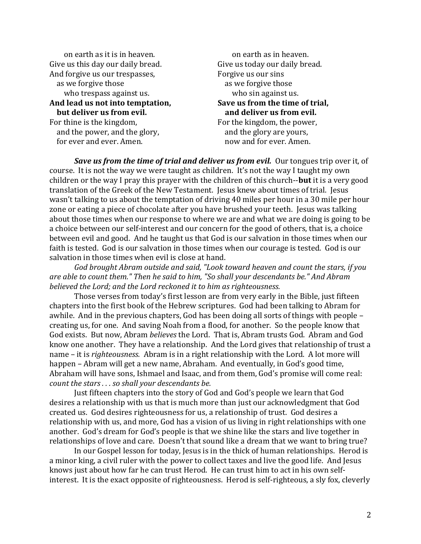on earth as it is in heaven. Give us this day our daily bread. And forgive us our trespasses, as we forgive those who trespass against us. **And lead us not into temptation, but deliver us from evil.** For thine is the kingdom,

 and the power, and the glory, for ever and ever. Amen.

 on earth as in heaven. Give us today our daily bread. Forgive us our sins as we forgive those who sin against us. **Save us from the time of trial, and deliver us from evil.** For the kingdom, the power, and the glory are yours, now and for ever. Amen.

**Save us from the time of trial and deliver us from evil.** Our tongues trip over it, of course. It is not the way we were taught as children. It's not the way I taught my own children or the way I pray this prayer with the children of this church--**but** it is a very good translation of the Greek of the New Testament. Jesus knew about times of trial. Jesus wasn't talking to us about the temptation of driving 40 miles per hour in a 30 mile per hour zone or eating a piece of chocolate after you have brushed your teeth. Jesus was talking about those times when our response to where we are and what we are doing is going to be a choice between our self-interest and our concern for the good of others, that is, a choice between evil and good. And he taught us that God is our salvation in those times when our faith is tested. God is our salvation in those times when our courage is tested. God is our salvation in those times when evil is close at hand.

*God brought Abram outside and said, "Look toward heaven and count the stars, if you are able to count them." Then he said to him, "So shall your descendants be." And Abram believed the Lord; and the Lord reckoned it to him as righteousness.*

Those verses from today's first lesson are from very early in the Bible, just fifteen chapters into the first book of the Hebrew scriptures. God had been talking to Abram for awhile. And in the previous chapters, God has been doing all sorts of things with people – creating us, for one. And saving Noah from a flood, for another. So the people know that God exists. But now, Abram *believes* the Lord. That is, Abram trusts God. Abram and God know one another. They have a relationship. And the Lord gives that relationship of trust a name – it is *righteousness.* Abram is in a right relationship with the Lord. A lot more will happen – Abram will get a new name, Abraham. And eventually, in God's good time, Abraham will have sons, Ishmael and Isaac, and from them, God's promise will come real: *count the stars . . . so shall your descendants be.* 

Just fifteen chapters into the story of God and God's people we learn that God desires a relationship with us that is much more than just our acknowledgment that God created us. God desires righteousness for us, a relationship of trust. God desires a relationship with us, and more, God has a vision of us living in right relationships with one another. God's dream for God's people is that we shine like the stars and live together in relationships of love and care. Doesn't that sound like a dream that we want to bring true?

In our Gospel lesson for today, Jesus is in the thick of human relationships. Herod is a minor king, a civil ruler with the power to collect taxes and live the good life. And Jesus knows just about how far he can trust Herod. He can trust him to act in his own selfinterest. It is the exact opposite of righteousness. Herod is self-righteous, a sly fox, cleverly